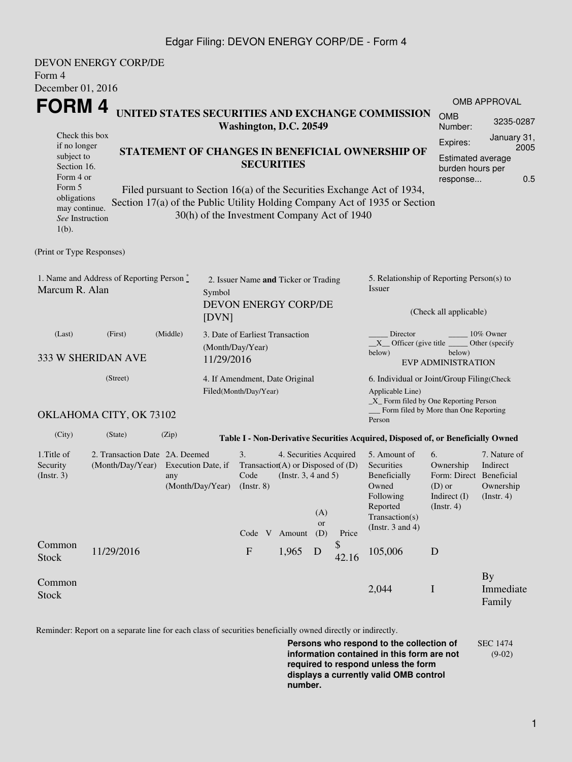## Edgar Filing: DEVON ENERGY CORP/DE - Form 4

| Form 4<br>December 01, 2016                                                              | <b>DEVON ENERGY CORP/DE</b>                                                                                                                        |                                               |                                                                                 |                                                                                 |                                                              |                                                                                                                                               |                                                                                                                                                          |                                                                                                                                                       |                                                                                       |                                                     |  |
|------------------------------------------------------------------------------------------|----------------------------------------------------------------------------------------------------------------------------------------------------|-----------------------------------------------|---------------------------------------------------------------------------------|---------------------------------------------------------------------------------|--------------------------------------------------------------|-----------------------------------------------------------------------------------------------------------------------------------------------|----------------------------------------------------------------------------------------------------------------------------------------------------------|-------------------------------------------------------------------------------------------------------------------------------------------------------|---------------------------------------------------------------------------------------|-----------------------------------------------------|--|
| <b>FORM4</b><br>Check this box<br>if no longer<br>subject to<br>Section 16.<br>Form 4 or | UNITED STATES SECURITIES AND EXCHANGE COMMISSION<br>Washington, D.C. 20549<br>STATEMENT OF CHANGES IN BENEFICIAL OWNERSHIP OF<br><b>SECURITIES</b> |                                               |                                                                                 |                                                                                 |                                                              |                                                                                                                                               | OMB APPROVAL<br><b>OMB</b><br>3235-0287<br>Number:<br>January 31,<br>Expires:<br>2005<br><b>Estimated average</b><br>burden hours per<br>0.5<br>response |                                                                                                                                                       |                                                                                       |                                                     |  |
| Form 5<br>obligations<br>may continue.<br>See Instruction<br>$1(b)$ .                    |                                                                                                                                                    |                                               |                                                                                 | 30(h) of the Investment Company Act of 1940                                     |                                                              |                                                                                                                                               |                                                                                                                                                          | Filed pursuant to Section 16(a) of the Securities Exchange Act of 1934,<br>Section 17(a) of the Public Utility Holding Company Act of 1935 or Section |                                                                                       |                                                     |  |
| (Print or Type Responses)                                                                |                                                                                                                                                    |                                               |                                                                                 |                                                                                 |                                                              |                                                                                                                                               |                                                                                                                                                          |                                                                                                                                                       |                                                                                       |                                                     |  |
| 1. Name and Address of Reporting Person $\stackrel{*}{\mathbb{L}}$<br>Marcum R. Alan     |                                                                                                                                                    |                                               | 2. Issuer Name and Ticker or Trading<br>Symbol<br>DEVON ENERGY CORP/DE<br>[DVN] |                                                                                 |                                                              |                                                                                                                                               |                                                                                                                                                          | 5. Relationship of Reporting Person(s) to<br>Issuer<br>(Check all applicable)                                                                         |                                                                                       |                                                     |  |
| (Last)<br>333 W SHERIDAN AVE                                                             | 3. Date of Earliest Transaction<br>(Month/Day/Year)<br>11/29/2016                                                                                  |                                               |                                                                                 |                                                                                 |                                                              | Director<br>10% Owner<br>$X$ Officer (give title $\overline{\phantom{a}}$<br>Other (specify)<br>below)<br>below)<br><b>EVP ADMINISTRATION</b> |                                                                                                                                                          |                                                                                                                                                       |                                                                                       |                                                     |  |
|                                                                                          | 4. If Amendment, Date Original<br>Filed(Month/Day/Year)                                                                                            |                                               |                                                                                 |                                                                                 |                                                              | 6. Individual or Joint/Group Filing(Check<br>Applicable Line)<br>$\_X$ Form filed by One Reporting Person                                     |                                                                                                                                                          |                                                                                                                                                       |                                                                                       |                                                     |  |
|                                                                                          | OKLAHOMA CITY, OK 73102                                                                                                                            |                                               |                                                                                 |                                                                                 |                                                              |                                                                                                                                               |                                                                                                                                                          | Person                                                                                                                                                | Form filed by More than One Reporting                                                 |                                                     |  |
| (City)                                                                                   | (State)                                                                                                                                            | (Zip)                                         |                                                                                 |                                                                                 |                                                              |                                                                                                                                               |                                                                                                                                                          | Table I - Non-Derivative Securities Acquired, Disposed of, or Beneficially Owned                                                                      |                                                                                       |                                                     |  |
| 1. Title of<br>Security<br>(Insert. 3)                                                   | 2. Transaction Date 2A. Deemed<br>(Month/Day/Year)                                                                                                 | Execution Date, if<br>any<br>(Month/Day/Year) |                                                                                 | 3.<br>Transaction(A) or Disposed of $(D)$<br>Code<br>$($ Instr. 8 $)$<br>Code V | 4. Securities Acquired<br>(Instr. $3, 4$ and $5$ )<br>Amount | (A)<br>or<br>(D)                                                                                                                              | Price                                                                                                                                                    | 5. Amount of<br>Securities<br>Beneficially<br>Owned<br>Following<br>Reported<br>Transaction(s)<br>(Instr. $3$ and $4$ )                               | 6.<br>Ownership<br>Form: Direct Beneficial<br>$(D)$ or<br>Indirect (I)<br>(Insert. 4) | 7. Nature of<br>Indirect<br>Ownership<br>(Instr. 4) |  |
| Common<br><b>Stock</b>                                                                   | 11/29/2016                                                                                                                                         |                                               |                                                                                 | ${\bf F}$                                                                       | 1,965                                                        | D                                                                                                                                             | \$<br>42.16                                                                                                                                              | 105,006                                                                                                                                               | D                                                                                     |                                                     |  |
| Common<br><b>Stock</b>                                                                   |                                                                                                                                                    |                                               |                                                                                 |                                                                                 |                                                              |                                                                                                                                               |                                                                                                                                                          | 2,044                                                                                                                                                 | $\mathbf I$                                                                           | By<br>Immediate<br>Family                           |  |

Reminder: Report on a separate line for each class of securities beneficially owned directly or indirectly.

**Persons who respond to the collection of information contained in this form are not required to respond unless the form displays a currently valid OMB control number.** SEC 1474 (9-02)